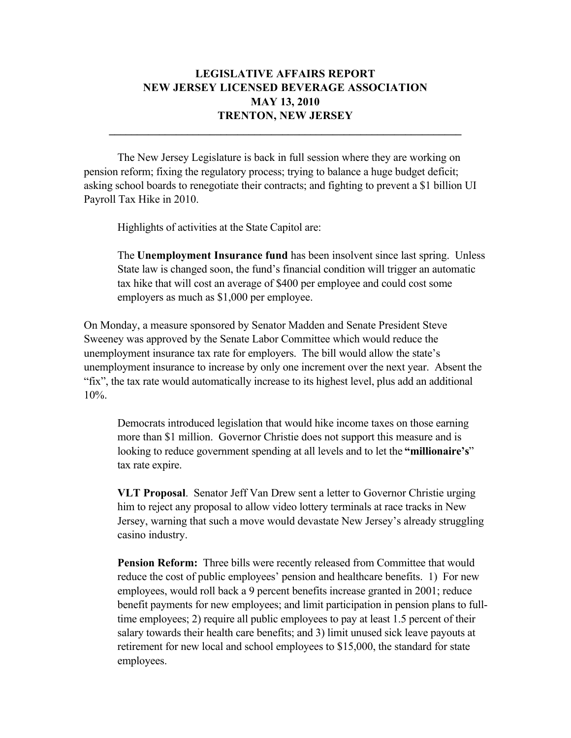## **LEGISLATIVE AFFAIRS REPORT NEW JERSEY LICENSED BEVERAGE ASSOCIATION MAY 13, 2010 TRENTON, NEW JERSEY**

 $\mathcal{L}_\mathcal{L} = \{ \mathcal{L}_\mathcal{L} = \{ \mathcal{L}_\mathcal{L} = \{ \mathcal{L}_\mathcal{L} = \{ \mathcal{L}_\mathcal{L} = \{ \mathcal{L}_\mathcal{L} = \{ \mathcal{L}_\mathcal{L} = \{ \mathcal{L}_\mathcal{L} = \{ \mathcal{L}_\mathcal{L} = \{ \mathcal{L}_\mathcal{L} = \{ \mathcal{L}_\mathcal{L} = \{ \mathcal{L}_\mathcal{L} = \{ \mathcal{L}_\mathcal{L} = \{ \mathcal{L}_\mathcal{L} = \{ \mathcal{L}_\mathcal{$ 

The New Jersey Legislature is back in full session where they are working on pension reform; fixing the regulatory process; trying to balance a huge budget deficit; asking school boards to renegotiate their contracts; and fighting to prevent a \$1 billion UI Payroll Tax Hike in 2010.

Highlights of activities at the State Capitol are:

The **Unemployment Insurance fund** has been insolvent since last spring. Unless State law is changed soon, the fund's financial condition will trigger an automatic tax hike that will cost an average of \$400 per employee and could cost some employers as much as \$1,000 per employee.

On Monday, a measure sponsored by Senator Madden and Senate President Steve Sweeney was approved by the Senate Labor Committee which would reduce the unemployment insurance tax rate for employers. The bill would allow the state's unemployment insurance to increase by only one increment over the next year. Absent the "fix", the tax rate would automatically increase to its highest level, plus add an additional 10%.

Democrats introduced legislation that would hike income taxes on those earning more than \$1 million. Governor Christie does not support this measure and is looking to reduce government spending at all levels and to let the **"millionaire's**" tax rate expire.

**VLT Proposal**. Senator Jeff Van Drew sent a letter to Governor Christie urging him to reject any proposal to allow video lottery terminals at race tracks in New Jersey, warning that such a move would devastate New Jersey's already struggling casino industry.

**Pension Reform:** Three bills were recently released from Committee that would reduce the cost of public employees' pension and healthcare benefits. 1) For new employees, would roll back a 9 percent benefits increase granted in 2001; reduce benefit payments for new employees; and limit participation in pension plans to fulltime employees; 2) require all public employees to pay at least 1.5 percent of their salary towards their health care benefits; and 3) limit unused sick leave payouts at retirement for new local and school employees to \$15,000, the standard for state employees.